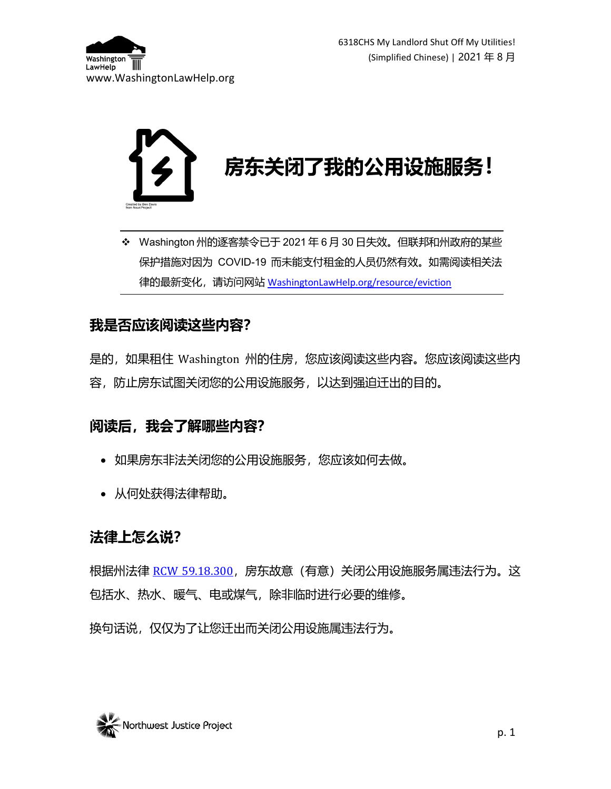

 Washington 州的逐客禁令已于 2021 年 6 月 30 日失效。但联邦和州政府的某些 保护措施对因为 COVID-19 而未能支付租金的人员仍然有效。如需阅读相关法 律的最新变化,请访问网站 [WashingtonLawHelp.org/resource/eviction](https://www.washingtonlawhelp.org/resource/eviction?lang=MZH)

#### **我是否应该阅读这些内容?**

是的,如果租住 Washington 州的住房,您应该阅读这些内容。您应该阅读这些内 容,防止房东试图关闭您的公用设施服务,以达到强迫迁出的目的。

## **阅读后,我会了解哪些内容?**

- 如果房东非法关闭您的公用设施服务,您应该如何去做。
- 从何处获得法律帮助。

## **法律上怎么说?**

根据州法律 [RCW 59.18.300](https://app.leg.wa.gov/RCW/default.aspx?cite=59.18.300),房东故意(有意)关闭公用设施服务属违法行为。这 包括水、热水、暖气、电或煤气,除非临时进行必要的维修。

换句话说,仅仅为了让您迁出而关闭公用设施属违法行为。

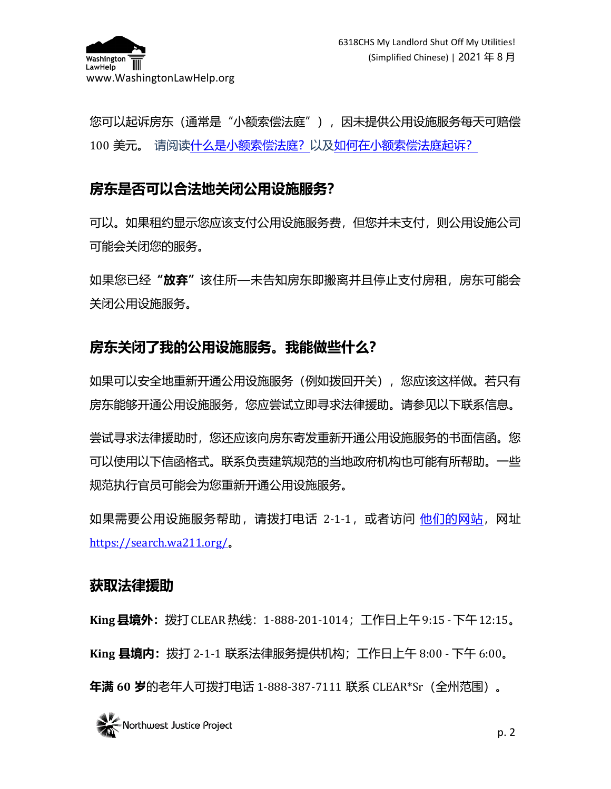

您可以起诉房东(通常是"小额索偿法庭"),因未提供公用设施服务每天可赔偿 100 美元。 请阅[读什么是小额索偿法庭?以](https://www.washingtonlawhelp.org/resource/what-is-small-claims-court?ref=poeDP)[及如何在小额索偿法庭起诉?](https://www.washingtonlawhelp.org/resource/small-claims-court?ref=poeDP)

## **房东是否可以合法地关闭公用设施服务?**

可以。如果租约显示您应该支付公用设施服务费,但您并未支付,则公用设施公司 可能会关闭您的服务。

如果您已经"**放弃"**该住所—未告知房东即搬离并且停止支付房租,房东可能会 关闭公用设施服务。

#### **房东关闭了我的公用设施服务。我能做些什么?**

如果可以安全地重新开通公用设施服务(例如拨回开关),您应该这样做。若只有 房东能够开通公用设施服务,您应尝试立即寻求法律援助。请参见以下联系信息。

尝试寻求法律援助时,您还应该向房东寄发重新开通公用设施服务的书面信函。您 可以使用以下信函格式。联系负责建筑规范的当地政府机构也可能有所帮助。一些 规范执行官员可能会为您重新开通公用设施服务。

如果需要公用设施服务帮助,请拨打电话 2-1-1,或者访问 [他们的网站,](https://search.wa211.org/)网址 <https://search.wa211.org/>。

#### **获取法律援助**

**King 县境外:**拨打CLEAR 热线:1-888-201-1014;工作日上午9:15 - 下午12:15。 **King 县境内:**拨打 2-1-1 联系法律服务提供机构;工作日上午 8:00 - 下午 6:00。 **年满 60 岁**的老年人可拨打电话 1-888-387-7111 联系 CLEAR\*Sr(全州范围)。

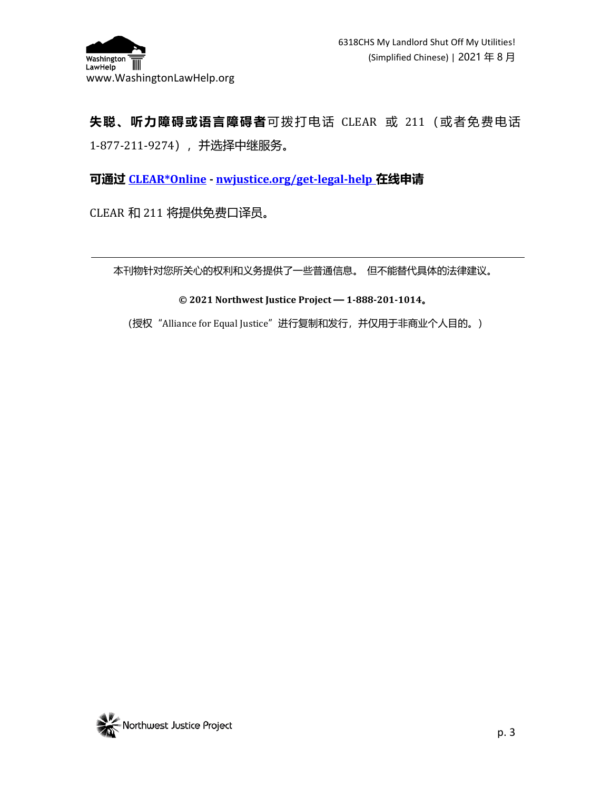

# **失聪、听力障碍或语言障碍者**可拨打电话 CLEAR 或 211(或者免费电话 1-877-211-9274),并选择中继服务。

**可通过 [CLEAR\\*Online](http://nwjustice.org/get-legal-help) - [nwjustice.org/get-legal-help](http://nwjustice.org/get-legal-help) 在线申请**

CLEAR 和 211 将提供免费口译员。

本刊物针对您所关心的权利和义务提供了一些普通信息。 但不能替代具体的法律建议。

**© 2021 Northwest Justice Project — 1-888-201-1014。**

(授权 "Alliance for Equal Justice" 进行复制和发行, 并仅用于非商业个人目的。)

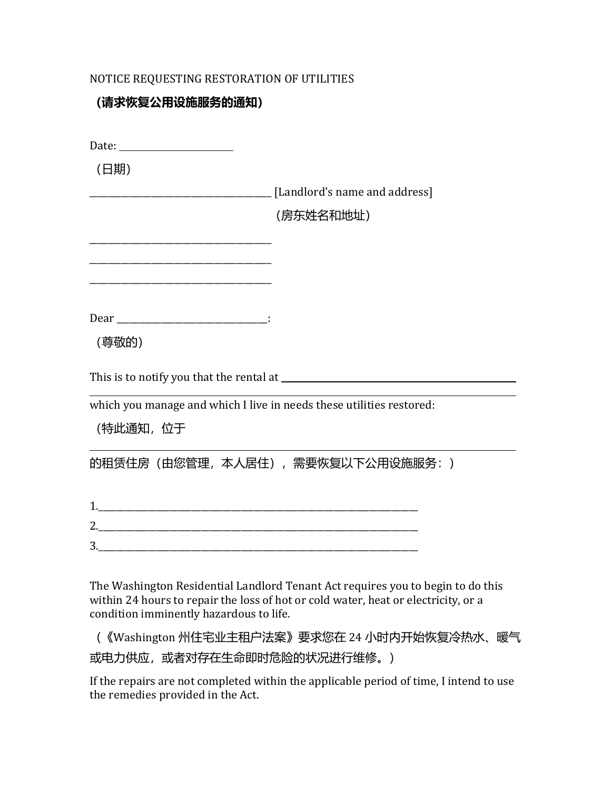#### NOTICE REQUESTING RESTORATION OF UTILITIES

#### **(请求恢复公用设施服务的通知)**

| (日期)                                                                              |                                                                         |
|-----------------------------------------------------------------------------------|-------------------------------------------------------------------------|
|                                                                                   | [Landlord's name and address]                                           |
|                                                                                   | (房东姓名和地址)                                                               |
|                                                                                   |                                                                         |
|                                                                                   |                                                                         |
|                                                                                   |                                                                         |
| (尊敬的)                                                                             |                                                                         |
|                                                                                   |                                                                         |
| which you manage and which I live in needs these utilities restored:<br>(特此通知, 位于 |                                                                         |
|                                                                                   | 的租赁住房 (由您管理, 本人居住) , 需要恢复以下公用设施服务: )                                    |
|                                                                                   |                                                                         |
|                                                                                   |                                                                         |
|                                                                                   |                                                                         |
|                                                                                   | The Washington Residential Landlord Tenant Act requires you to begin to |

The Washington Residential Landlord Tenant Act requires you to begin to do this within 24 hours to repair the loss of hot or cold water, heat or electricity, or a condition imminently hazardous to life.

(《Washington 州住宅业主租户法案》要求您在 24 小时内开始恢复冷热水、暖气 或电力供应,或者对存在生命即时危险的状况进行维修。)

If the repairs are not completed within the applicable period of time, I intend to use the remedies provided in the Act.